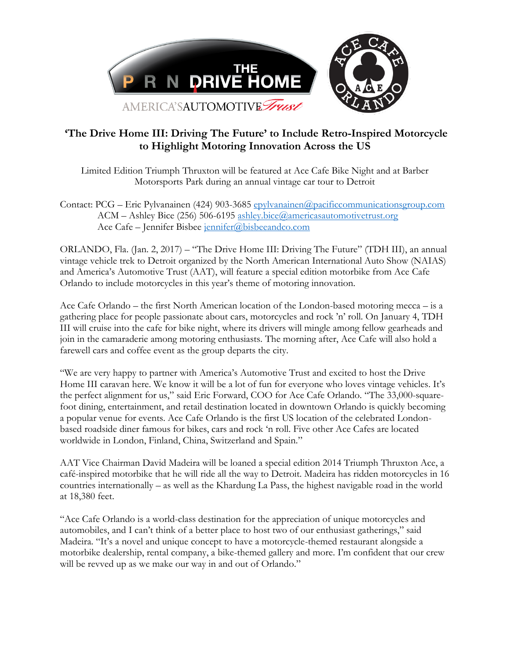

## **'The Drive Home III: Driving The Future' to Include Retro-Inspired Motorcycle to Highlight Motoring Innovation Across the US**

Limited Edition Triumph Thruxton will be featured at Ace Cafe Bike Night and at Barber Motorsports Park during an annual vintage car tour to Detroit

Contact: PCG – Eric Pylvanainen (424) 903-3685 [epylvanainen@pacificcommunicationsgroup.com](mailto:epylvanainen@pacificcommunicationsgroup.com) ACM – Ashley Bice (256) 506-6195 [ashley.bice@americasautomotivetrust.org](mailto:ashley.bice@americasautomotivetrust.org) Ace Cafe – Jennifer Bisbee [jennifer@bisbeeandco.com](mailto:jennifer@bisbeeandco.com)

ORLANDO, Fla. (Jan. 2, 2017) – "The Drive Home III: Driving The Future" (TDH III), an annual vintage vehicle trek to Detroit organized by the North American International Auto Show (NAIAS) and America's Automotive Trust (AAT), will feature a special edition motorbike from Ace Cafe Orlando to include motorcycles in this year's theme of motoring innovation.

Ace Cafe Orlando – the first North American location of the London-based motoring mecca – is a gathering place for people passionate about cars, motorcycles and rock 'n' roll. On January 4, TDH III will cruise into the cafe for bike night, where its drivers will mingle among fellow gearheads and join in the camaraderie among motoring enthusiasts. The morning after, Ace Cafe will also hold a farewell cars and coffee event as the group departs the city.

"We are very happy to partner with America's Automotive Trust and excited to host the Drive Home III caravan here. We know it will be a lot of fun for everyone who loves vintage vehicles. It's the perfect alignment for us," said Eric Forward, COO for Ace Cafe Orlando. "The 33,000-squarefoot dining, entertainment, and retail destination located in downtown Orlando is quickly becoming a popular venue for events. Ace Cafe Orlando is the first US location of the celebrated Londonbased roadside diner famous for bikes, cars and rock 'n roll. Five other Ace Cafes are located worldwide in London, Finland, China, Switzerland and Spain."

AAT Vice Chairman David Madeira will be loaned a special edition 2014 Triumph Thruxton Ace, a café-inspired motorbike that he will ride all the way to Detroit. Madeira has ridden motorcycles in 16 countries internationally – as well as the Khardung La Pass, the highest navigable road in the world at 18,380 feet.

"Ace Cafe Orlando is a world-class destination for the appreciation of unique motorcycles and automobiles, and I can't think of a better place to host two of our enthusiast gatherings," said Madeira. "It's a novel and unique concept to have a motorcycle-themed restaurant alongside a motorbike dealership, rental company, a bike-themed gallery and more. I'm confident that our crew will be revved up as we make our way in and out of Orlando."